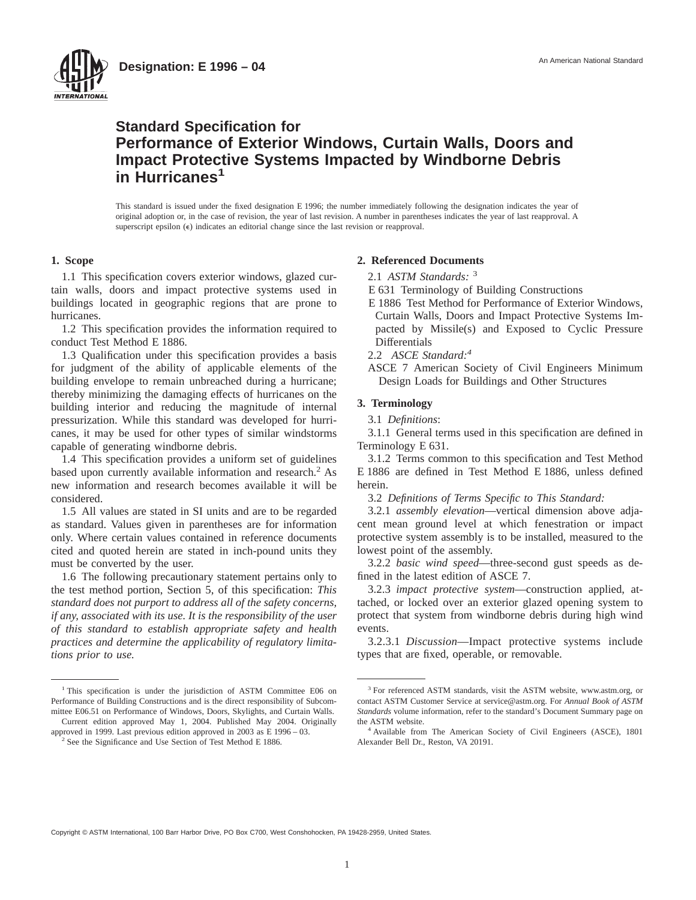



This standard is issued under the fixed designation E 1996; the number immediately following the designation indicates the year of original adoption or, in the case of revision, the year of last revision. A number in parentheses indicates the year of last reapproval. A superscript epsilon  $(\epsilon)$  indicates an editorial change since the last revision or reapproval.

### **1. Scope**

1.1 This specification covers exterior windows, glazed curtain walls, doors and impact protective systems used in buildings located in geographic regions that are prone to hurricanes.

1.2 This specification provides the information required to conduct Test Method E 1886.

1.3 Qualification under this specification provides a basis for judgment of the ability of applicable elements of the building envelope to remain unbreached during a hurricane; thereby minimizing the damaging effects of hurricanes on the building interior and reducing the magnitude of internal pressurization. While this standard was developed for hurricanes, it may be used for other types of similar windstorms capable of generating windborne debris.

1.4 This specification provides a uniform set of guidelines based upon currently available information and research.<sup>2</sup> As new information and research becomes available it will be considered.

1.5 All values are stated in SI units and are to be regarded as standard. Values given in parentheses are for information only. Where certain values contained in reference documents cited and quoted herein are stated in inch-pound units they must be converted by the user.

1.6 The following precautionary statement pertains only to the test method portion, Section 5, of this specification: *This standard does not purport to address all of the safety concerns, if any, associated with its use. It is the responsibility of the user of this standard to establish appropriate safety and health practices and determine the applicability of regulatory limitations prior to use.*

<sup>1</sup> This specification is under the jurisdiction of ASTM Committee E06 on Performance of Building Constructions and is the direct responsibility of Subcommittee E06.51 on Performance of Windows, Doors, Skylights, and Curtain Walls.

Current edition approved May 1, 2004. Published May 2004. Originally approved in 1999. Last previous edition approved in 2003 as E 1996 – 03. <sup>2</sup> See the Significance and Use Section of Test Method E 1886.

## **2. Referenced Documents**

2.1 *ASTM Standards:* <sup>3</sup>

- E 631 Terminology of Building Constructions
- E 1886 Test Method for Performance of Exterior Windows, Curtain Walls, Doors and Impact Protective Systems Impacted by Missile(s) and Exposed to Cyclic Pressure Differentials
- 2.2 *ASCE Standard:4*

ASCE 7 American Society of Civil Engineers Minimum Design Loads for Buildings and Other Structures

### **3. Terminology**

3.1 *Definitions*:

3.1.1 General terms used in this specification are defined in Terminology E 631.

3.1.2 Terms common to this specification and Test Method E 1886 are defined in Test Method E 1886, unless defined herein.

3.2 *Definitions of Terms Specific to This Standard:*

3.2.1 *assembly elevation*—vertical dimension above adjacent mean ground level at which fenestration or impact protective system assembly is to be installed, measured to the lowest point of the assembly.

3.2.2 *basic wind speed*—three-second gust speeds as defined in the latest edition of ASCE 7.

3.2.3 *impact protective system*—construction applied, attached, or locked over an exterior glazed opening system to protect that system from windborne debris during high wind events.

3.2.3.1 *Discussion*—Impact protective systems include types that are fixed, operable, or removable.

Copyright © ASTM International, 100 Barr Harbor Drive, PO Box C700, West Conshohocken, PA 19428-2959, United States.

<sup>&</sup>lt;sup>3</sup> For referenced ASTM standards, visit the ASTM website, www.astm.org, or contact ASTM Customer Service at service@astm.org. For *Annual Book of ASTM Standards* volume information, refer to the standard's Document Summary page on the ASTM website.

<sup>4</sup> Available from The American Society of Civil Engineers (ASCE), 1801 Alexander Bell Dr., Reston, VA 20191.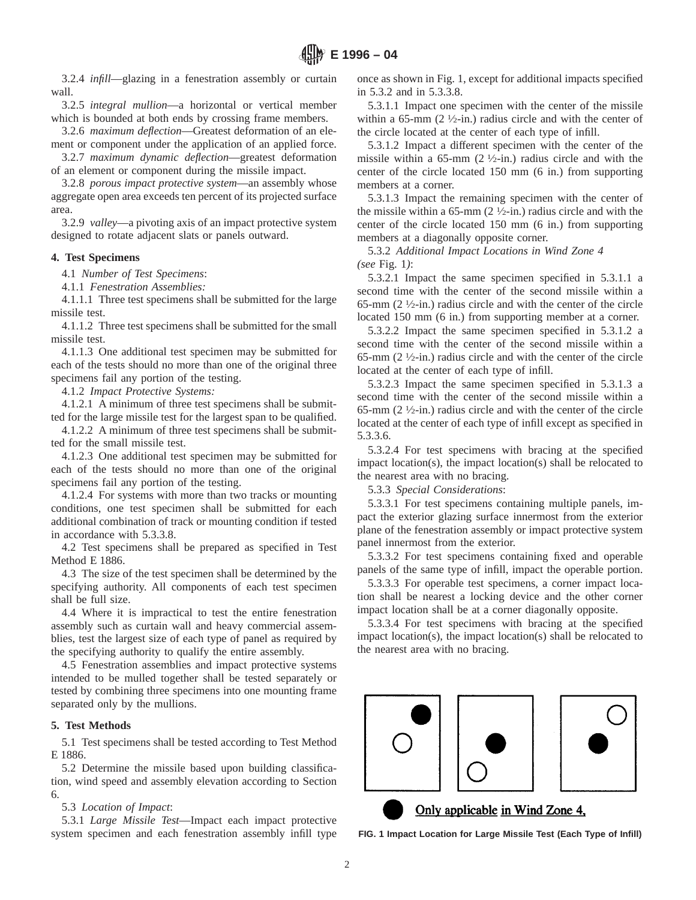3.2.4 *infill*—glazing in a fenestration assembly or curtain wall.

3.2.5 *integral mullion*—a horizontal or vertical member which is bounded at both ends by crossing frame members.

3.2.6 *maximum deflection*—Greatest deformation of an element or component under the application of an applied force. 3.2.7 *maximum dynamic deflection*—greatest deformation

of an element or component during the missile impact.

3.2.8 *porous impact protective system*—an assembly whose aggregate open area exceeds ten percent of its projected surface area.

3.2.9 *valley*—a pivoting axis of an impact protective system designed to rotate adjacent slats or panels outward.

### **4. Test Specimens**

4.1 *Number of Test Specimens*:

4.1.1 *Fenestration Assemblies:*

4.1.1.1 Three test specimens shall be submitted for the large missile test.

4.1.1.2 Three test specimens shall be submitted for the small missile test.

4.1.1.3 One additional test specimen may be submitted for each of the tests should no more than one of the original three specimens fail any portion of the testing.

4.1.2 *Impact Protective Systems:*

4.1.2.1 A minimum of three test specimens shall be submitted for the large missile test for the largest span to be qualified.

4.1.2.2 A minimum of three test specimens shall be submitted for the small missile test.

4.1.2.3 One additional test specimen may be submitted for each of the tests should no more than one of the original specimens fail any portion of the testing.

4.1.2.4 For systems with more than two tracks or mounting conditions, one test specimen shall be submitted for each additional combination of track or mounting condition if tested in accordance with 5.3.3.8.

4.2 Test specimens shall be prepared as specified in Test Method E 1886.

4.3 The size of the test specimen shall be determined by the specifying authority. All components of each test specimen shall be full size.

4.4 Where it is impractical to test the entire fenestration assembly such as curtain wall and heavy commercial assemblies, test the largest size of each type of panel as required by the specifying authority to qualify the entire assembly.

4.5 Fenestration assemblies and impact protective systems intended to be mulled together shall be tested separately or tested by combining three specimens into one mounting frame separated only by the mullions.

## **5. Test Methods**

5.1 Test specimens shall be tested according to Test Method E 1886.

5.2 Determine the missile based upon building classification, wind speed and assembly elevation according to Section 6.

## 5.3 *Location of Impact*:

5.3.1 *Large Missile Test*—Impact each impact protective system specimen and each fenestration assembly infill type once as shown in Fig. 1, except for additional impacts specified in 5.3.2 and in 5.3.3.8.

5.3.1.1 Impact one specimen with the center of the missile within a 65-mm  $(2 \frac{1}{2} \cdot \text{in.})$  radius circle and with the center of the circle located at the center of each type of infill.

5.3.1.2 Impact a different specimen with the center of the missile within a 65-mm  $(2 \frac{1}{2} \cdot \text{in.})$  radius circle and with the center of the circle located 150 mm (6 in.) from supporting members at a corner.

5.3.1.3 Impact the remaining specimen with the center of the missile within a  $65$ -mm  $(2 \frac{1}{2}$ -in.) radius circle and with the center of the circle located 150 mm (6 in.) from supporting members at a diagonally opposite corner.

5.3.2 *Additional Impact Locations in Wind Zone 4 (see* Fig. 1*)*:

5.3.2.1 Impact the same specimen specified in 5.3.1.1 a second time with the center of the second missile within a 65-mm  $(2 \frac{1}{2} \cdot in.)$  radius circle and with the center of the circle located 150 mm (6 in.) from supporting member at a corner.

5.3.2.2 Impact the same specimen specified in 5.3.1.2 a second time with the center of the second missile within a 65-mm  $(2 \frac{1}{2} \cdot in.)$  radius circle and with the center of the circle located at the center of each type of infill.

5.3.2.3 Impact the same specimen specified in 5.3.1.3 a second time with the center of the second missile within a 65-mm  $(2 \frac{1}{2} \cdot in.)$  radius circle and with the center of the circle located at the center of each type of infill except as specified in 5.3.3.6.

5.3.2.4 For test specimens with bracing at the specified impact location(s), the impact location(s) shall be relocated to the nearest area with no bracing.

5.3.3 *Special Considerations*:

5.3.3.1 For test specimens containing multiple panels, impact the exterior glazing surface innermost from the exterior plane of the fenestration assembly or impact protective system panel innermost from the exterior.

5.3.3.2 For test specimens containing fixed and operable panels of the same type of infill, impact the operable portion.

5.3.3.3 For operable test specimens, a corner impact location shall be nearest a locking device and the other corner impact location shall be at a corner diagonally opposite.

5.3.3.4 For test specimens with bracing at the specified impact location(s), the impact location(s) shall be relocated to the nearest area with no bracing.



**FIG. 1 Impact Location for Large Missile Test (Each Type of Infill)**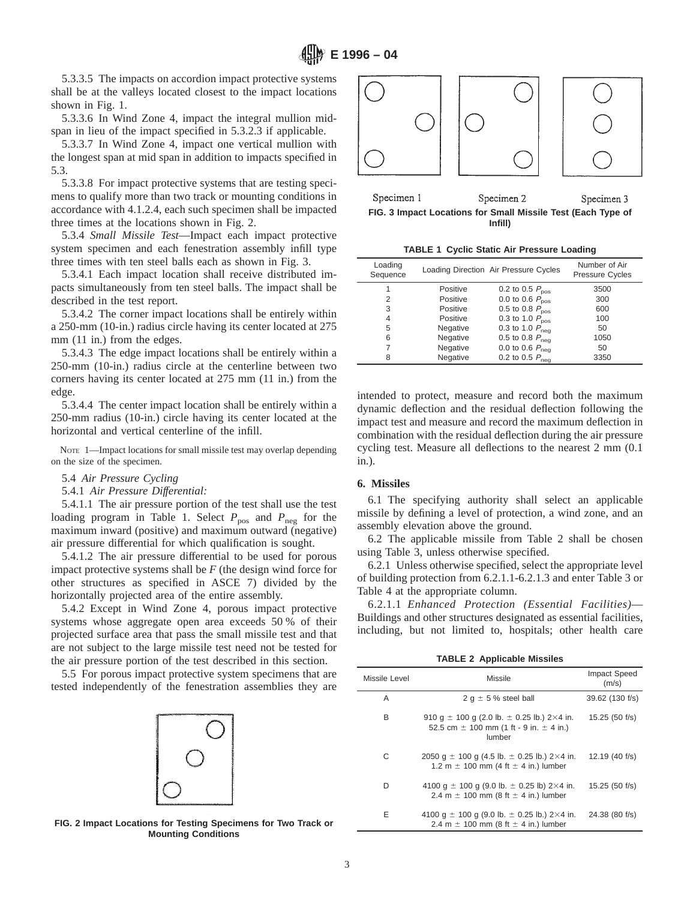5.3.3.5 The impacts on accordion impact protective systems shall be at the valleys located closest to the impact locations shown in Fig. 1.

5.3.3.6 In Wind Zone 4, impact the integral mullion midspan in lieu of the impact specified in 5.3.2.3 if applicable.

5.3.3.7 In Wind Zone 4, impact one vertical mullion with the longest span at mid span in addition to impacts specified in 5.3.

5.3.3.8 For impact protective systems that are testing specimens to qualify more than two track or mounting conditions in accordance with 4.1.2.4, each such specimen shall be impacted three times at the locations shown in Fig. 2.

5.3.4 *Small Missile Test*—Impact each impact protective system specimen and each fenestration assembly infill type three times with ten steel balls each as shown in Fig. 3.

5.3.4.1 Each impact location shall receive distributed impacts simultaneously from ten steel balls. The impact shall be described in the test report.

5.3.4.2 The corner impact locations shall be entirely within a 250-mm (10-in.) radius circle having its center located at 275 mm  $(11$  in.) from the edges.

5.3.4.3 The edge impact locations shall be entirely within a 250-mm (10-in.) radius circle at the centerline between two corners having its center located at 275 mm (11 in.) from the edge.

5.3.4.4 The center impact location shall be entirely within a 250-mm radius (10-in.) circle having its center located at the horizontal and vertical centerline of the infill.

NOTE 1-Impact locations for small missile test may overlap depending on the size of the specimen.

5.4 *Air Pressure Cycling*

## 5.4.1 *Air Pressure Differential:*

5.4.1.1 The air pressure portion of the test shall use the test loading program in Table 1. Select  $P_{\text{pos}}$  and  $P_{\text{neg}}$  for the maximum inward (positive) and maximum outward (negative) air pressure differential for which qualification is sought.

5.4.1.2 The air pressure differential to be used for porous impact protective systems shall be *F* (the design wind force for other structures as specified in ASCE 7) divided by the horizontally projected area of the entire assembly.

5.4.2 Except in Wind Zone 4, porous impact protective systems whose aggregate open area exceeds 50 % of their projected surface area that pass the small missile test and that are not subject to the large missile test need not be tested for the air pressure portion of the test described in this section.

5.5 For porous impact protective system specimens that are tested independently of the fenestration assemblies they are







Specimen 1 Specimen 2 Specimen 3 **FIG. 3 Impact Locations for Small Missile Test (Each Type of Infill)**

|  |  |  | TABLE 1 Cyclic Static Air Pressure Loading |  |
|--|--|--|--------------------------------------------|--|
|--|--|--|--------------------------------------------|--|

| Loading<br>Sequence |          | Loading Direction Air Pressure Cycles | Number of Air<br><b>Pressure Cycles</b> |
|---------------------|----------|---------------------------------------|-----------------------------------------|
|                     | Positive | 0.2 to 0.5 $P_{\text{nos}}$           | 3500                                    |
| 2                   | Positive | 0.0 to 0.6 $P_{\text{nos}}$           | 300                                     |
| 3                   | Positive | 0.5 to 0.8 $P_{\text{pos}}$           | 600                                     |
| 4                   | Positive | 0.3 to 1.0 $P_{\text{nos}}$           | 100                                     |
| 5                   | Negative | 0.3 to 1.0 $P_{\text{neg}}$           | 50                                      |
| 6                   | Negative | 0.5 to 0.8 $P_{\text{neq}}$           | 1050                                    |
|                     | Negative | 0.0 to 0.6 $P_{\text{neq}}$           | 50                                      |
| 8                   | Negative | 0.2 to 0.5 $P_{\text{neg}}$           | 3350                                    |

intended to protect, measure and record both the maximum dynamic deflection and the residual deflection following the impact test and measure and record the maximum deflection in combination with the residual deflection during the air pressure cycling test. Measure all deflections to the nearest 2 mm (0.1 in.).

### **6. Missiles**

6.1 The specifying authority shall select an applicable missile by defining a level of protection, a wind zone, and an assembly elevation above the ground.

6.2 The applicable missile from Table 2 shall be chosen using Table 3, unless otherwise specified.

6.2.1 Unless otherwise specified, select the appropriate level of building protection from 6.2.1.1-6.2.1.3 and enter Table 3 or Table 4 at the appropriate column.

6.2.1.1 *Enhanced Protection (Essential Facilities)*— Buildings and other structures designated as essential facilities, including, but not limited to, hospitals; other health care

**TABLE 2 Applicable Missiles**

| Missile Level | Missile                                                                                                         | Impact Speed<br>(m/s) |  |
|---------------|-----------------------------------------------------------------------------------------------------------------|-----------------------|--|
| A             | 2 g $\pm$ 5 % steel ball                                                                                        | 39.62 (130 f/s)       |  |
| B             | 910 $q \pm 100$ g (2.0 lb. $\pm$ 0.25 lb.) 2×4 in.<br>52.5 cm $\pm$ 100 mm (1 ft - 9 in. $\pm$ 4 in.)<br>lumber | 15.25 (50 f/s)        |  |
| C             | 2050 $q \pm 100$ q (4.5 lb. $\pm$ 0.25 lb.) 2×4 in.<br>1.2 m $\pm$ 100 mm (4 ft $\pm$ 4 in.) lumber             | 12.19 (40 f/s)        |  |
| D             | 4100 g $\pm$ 100 g (9.0 lb. $\pm$ 0.25 lb) 2×4 in.<br>2.4 m $\pm$ 100 mm (8 ft $\pm$ 4 in.) lumber              | 15.25 (50 f/s)        |  |
| Ε             | 4100 g $\pm$ 100 g (9.0 lb. $\pm$ 0.25 lb.) 2×4 in.<br>2.4 m $\pm$ 100 mm (8 ft $\pm$ 4 in.) lumber             | 24.38 (80 f/s)        |  |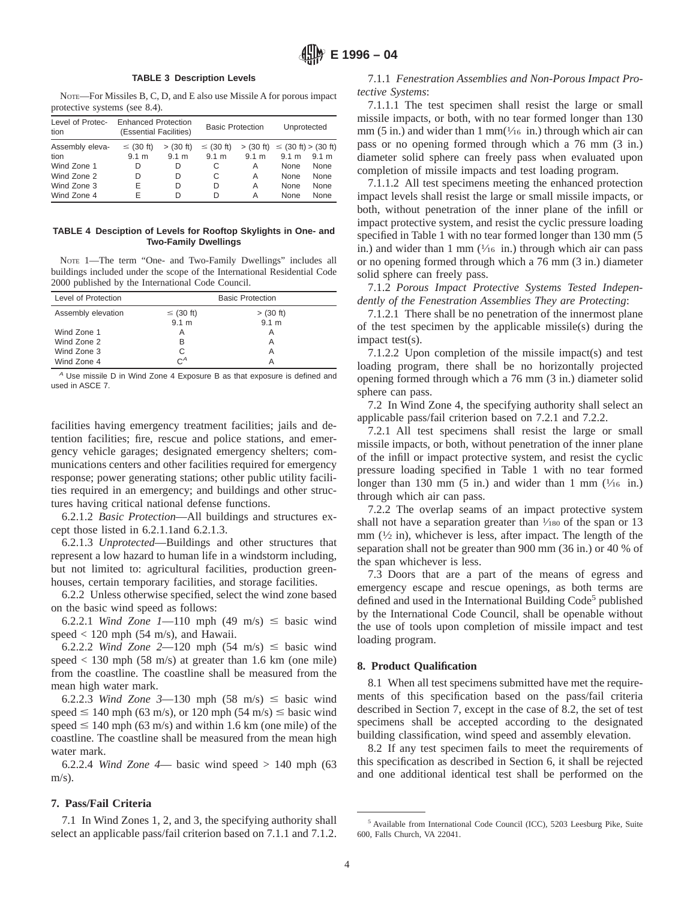#### **TABLE 3 Description Levels**

NOTE—For Missiles B, C, D, and E also use Missile A for porous impact protective systems (see 8.4).

| Level of Protec-<br>tion | <b>Enhanced Protection</b><br>(Essential Facilities) |             | <b>Basic Protection</b> |       | Unprotected                           |             |
|--------------------------|------------------------------------------------------|-------------|-------------------------|-------|---------------------------------------|-------------|
| Assembly eleva-          | $\leq$ (30 ft)                                       | $>$ (30 ft) | $\leq$ (30 ft)          |       | $>$ (30 ft) $\le$ (30 ft) $>$ (30 ft) |             |
| tion                     | 9.1 m                                                | 9.1 m       | 9.1 m                   | 9.1 m | 9.1 m                                 | 9.1 m       |
| Wind Zone 1              | D                                                    | D           | С                       | A     | None                                  | None        |
| Wind Zone 2              | D                                                    | D           | С                       | Α     | None                                  | None        |
| Wind Zone 3              | E                                                    | D           | D                       | Α     | None                                  | None        |
| Wind Zone 4              | F                                                    | D           | D                       | А     | <b>None</b>                           | <b>None</b> |

**TABLE 4 Desciption of Levels for Rooftop Skylights in One- and Two-Family Dwellings**

NOTE 1—The term "One- and Two-Family Dwellings" includes all buildings included under the scope of the International Residential Code 2000 published by the International Code Council.

| Level of Protection | <b>Basic Protection</b> |                  |  |
|---------------------|-------------------------|------------------|--|
| Assembly elevation  | $\leq$ (30 ft)          | $>$ (30 ft)      |  |
|                     | 9.1 m                   | 9.1 <sub>m</sub> |  |
| Wind Zone 1         | Α                       | Α                |  |
| Wind Zone 2         | в                       | Α                |  |
| Wind Zone 3         | C                       | Α                |  |
| Wind Zone 4         | $C^A$                   | Α                |  |

 $A$  Use missile D in Wind Zone 4 Exposure B as that exposure is defined and used in ASCE 7.

facilities having emergency treatment facilities; jails and detention facilities; fire, rescue and police stations, and emergency vehicle garages; designated emergency shelters; communications centers and other facilities required for emergency response; power generating stations; other public utility facilities required in an emergency; and buildings and other structures having critical national defense functions.

6.2.1.2 *Basic Protection*—All buildings and structures except those listed in 6.2.1.1and 6.2.1.3.

6.2.1.3 *Unprotected*—Buildings and other structures that represent a low hazard to human life in a windstorm including, but not limited to: agricultural facilities, production greenhouses, certain temporary facilities, and storage facilities.

6.2.2 Unless otherwise specified, select the wind zone based on the basic wind speed as follows:

6.2.2.1 *Wind Zone 1*—110 mph (49 m/s)  $\leq$  basic wind speed  $< 120$  mph (54 m/s), and Hawaii.

6.2.2.2 *Wind Zone* 2—120 mph  $(54 \text{ m/s}) \leq \text{basic wind}$ speed  $< 130$  mph (58 m/s) at greater than 1.6 km (one mile) from the coastline. The coastline shall be measured from the mean high water mark.

6.2.2.3 *Wind Zone* 3-130 mph  $(58 \text{ m/s}) \leq \text{basic wind}$ speed  $\leq 140$  mph (63 m/s), or 120 mph (54 m/s)  $\leq$  basic wind speed  $\leq 140$  mph (63 m/s) and within 1.6 km (one mile) of the coastline. The coastline shall be measured from the mean high water mark.

6.2.2.4 *Wind Zone 4*— basic wind speed  $> 140$  mph (63)  $m/s$ ).

# **7. Pass/Fail Criteria**

7.1 In Wind Zones 1, 2, and 3, the specifying authority shall select an applicable pass/fail criterion based on 7.1.1 and 7.1.2.

7.1.1 *Fenestration Assemblies and Non-Porous Impact Protective Systems*:

7.1.1.1 The test specimen shall resist the large or small missile impacts, or both, with no tear formed longer than 130 mm (5 in.) and wider than 1 mm( $\frac{1}{16}$  in.) through which air can pass or no opening formed through which a 76 mm (3 in.) diameter solid sphere can freely pass when evaluated upon completion of missile impacts and test loading program.

7.1.1.2 All test specimens meeting the enhanced protection impact levels shall resist the large or small missile impacts, or both, without penetration of the inner plane of the infill or impact protective system, and resist the cyclic pressure loading specified in Table 1 with no tear formed longer than 130 mm  $(5)$ in.) and wider than 1 mm  $(\frac{1}{16}$  in.) through which air can pass or no opening formed through which a 76 mm (3 in.) diameter solid sphere can freely pass.

7.1.2 *Porous Impact Protective Systems Tested Independently of the Fenestration Assemblies They are Protecting*:

7.1.2.1 There shall be no penetration of the innermost plane of the test specimen by the applicable missile(s) during the impact test(s).

7.1.2.2 Upon completion of the missile impact(s) and test loading program, there shall be no horizontally projected opening formed through which a 76 mm (3 in.) diameter solid sphere can pass.

7.2 In Wind Zone 4, the specifying authority shall select an applicable pass/fail criterion based on 7.2.1 and 7.2.2.

7.2.1 All test specimens shall resist the large or small missile impacts, or both, without penetration of the inner plane of the infill or impact protective system, and resist the cyclic pressure loading specified in Table 1 with no tear formed longer than 130 mm (5 in.) and wider than 1 mm  $(\frac{1}{16}$  in.) through which air can pass.

7.2.2 The overlap seams of an impact protective system shall not have a separation greater than  $\frac{1}{180}$  of the span or 13 mm  $(1/2$  in), whichever is less, after impact. The length of the separation shall not be greater than 900 mm (36 in.) or 40 % of the span whichever is less.

7.3 Doors that are a part of the means of egress and emergency escape and rescue openings, as both terms are defined and used in the International Building Code<sup>5</sup> published by the International Code Council, shall be openable without the use of tools upon completion of missile impact and test loading program.

## **8. Product Qualification**

8.1 When all test specimens submitted have met the requirements of this specification based on the pass/fail criteria described in Section 7, except in the case of 8.2, the set of test specimens shall be accepted according to the designated building classification, wind speed and assembly elevation.

8.2 If any test specimen fails to meet the requirements of this specification as described in Section 6, it shall be rejected and one additional identical test shall be performed on the

<sup>5</sup> Available from International Code Council (ICC), 5203 Leesburg Pike, Suite 600, Falls Church, VA 22041.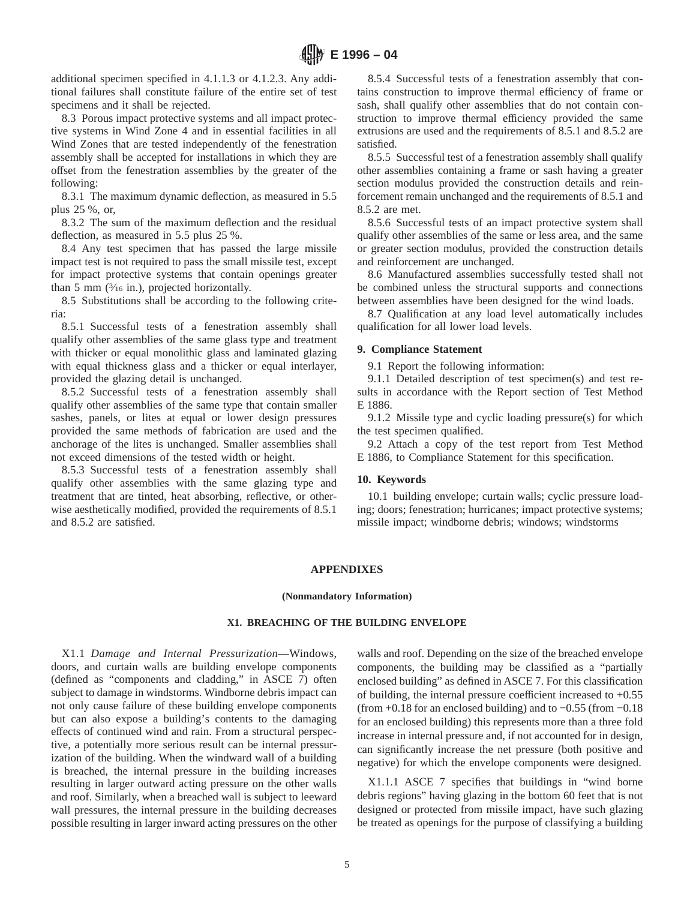additional specimen specified in 4.1.1.3 or 4.1.2.3. Any additional failures shall constitute failure of the entire set of test specimens and it shall be rejected.

8.3 Porous impact protective systems and all impact protective systems in Wind Zone 4 and in essential facilities in all Wind Zones that are tested independently of the fenestration assembly shall be accepted for installations in which they are offset from the fenestration assemblies by the greater of the following:

8.3.1 The maximum dynamic deflection, as measured in 5.5 plus 25 %, or,

8.3.2 The sum of the maximum deflection and the residual deflection, as measured in 5.5 plus 25 %.

8.4 Any test specimen that has passed the large missile impact test is not required to pass the small missile test, except for impact protective systems that contain openings greater than 5 mm  $(\frac{3}{16}$  in.), projected horizontally.

8.5 Substitutions shall be according to the following criteria:

8.5.1 Successful tests of a fenestration assembly shall qualify other assemblies of the same glass type and treatment with thicker or equal monolithic glass and laminated glazing with equal thickness glass and a thicker or equal interlayer, provided the glazing detail is unchanged.

8.5.2 Successful tests of a fenestration assembly shall qualify other assemblies of the same type that contain smaller sashes, panels, or lites at equal or lower design pressures provided the same methods of fabrication are used and the anchorage of the lites is unchanged. Smaller assemblies shall not exceed dimensions of the tested width or height.

8.5.3 Successful tests of a fenestration assembly shall qualify other assemblies with the same glazing type and treatment that are tinted, heat absorbing, reflective, or otherwise aesthetically modified, provided the requirements of 8.5.1 and 8.5.2 are satisfied.

8.5.4 Successful tests of a fenestration assembly that contains construction to improve thermal efficiency of frame or sash, shall qualify other assemblies that do not contain construction to improve thermal efficiency provided the same extrusions are used and the requirements of 8.5.1 and 8.5.2 are satisfied.

8.5.5 Successful test of a fenestration assembly shall qualify other assemblies containing a frame or sash having a greater section modulus provided the construction details and reinforcement remain unchanged and the requirements of 8.5.1 and 8.5.2 are met.

8.5.6 Successful tests of an impact protective system shall qualify other assemblies of the same or less area, and the same or greater section modulus, provided the construction details and reinforcement are unchanged.

8.6 Manufactured assemblies successfully tested shall not be combined unless the structural supports and connections between assemblies have been designed for the wind loads.

8.7 Qualification at any load level automatically includes qualification for all lower load levels.

#### **9. Compliance Statement**

9.1 Report the following information:

9.1.1 Detailed description of test specimen(s) and test results in accordance with the Report section of Test Method E 1886.

9.1.2 Missile type and cyclic loading pressure(s) for which the test specimen qualified.

9.2 Attach a copy of the test report from Test Method E 1886, to Compliance Statement for this specification.

## **10. Keywords**

10.1 building envelope; curtain walls; cyclic pressure loading; doors; fenestration; hurricanes; impact protective systems; missile impact; windborne debris; windows; windstorms

## **APPENDIXES**

#### **(Nonmandatory Information)**

#### **X1. BREACHING OF THE BUILDING ENVELOPE**

X1.1 *Damage and Internal Pressurization*—Windows, doors, and curtain walls are building envelope components (defined as "components and cladding," in ASCE 7) often subject to damage in windstorms. Windborne debris impact can not only cause failure of these building envelope components but can also expose a building's contents to the damaging effects of continued wind and rain. From a structural perspective, a potentially more serious result can be internal pressurization of the building. When the windward wall of a building is breached, the internal pressure in the building increases resulting in larger outward acting pressure on the other walls and roof. Similarly, when a breached wall is subject to leeward wall pressures, the internal pressure in the building decreases possible resulting in larger inward acting pressures on the other walls and roof. Depending on the size of the breached envelope components, the building may be classified as a "partially enclosed building" as defined in ASCE 7. For this classification of building, the internal pressure coefficient increased to  $+0.55$ (from  $+0.18$  for an enclosed building) and to  $-0.55$  (from  $-0.18$ ) for an enclosed building) this represents more than a three fold increase in internal pressure and, if not accounted for in design, can significantly increase the net pressure (both positive and negative) for which the envelope components were designed.

X1.1.1 ASCE 7 specifies that buildings in "wind borne debris regions" having glazing in the bottom 60 feet that is not designed or protected from missile impact, have such glazing be treated as openings for the purpose of classifying a building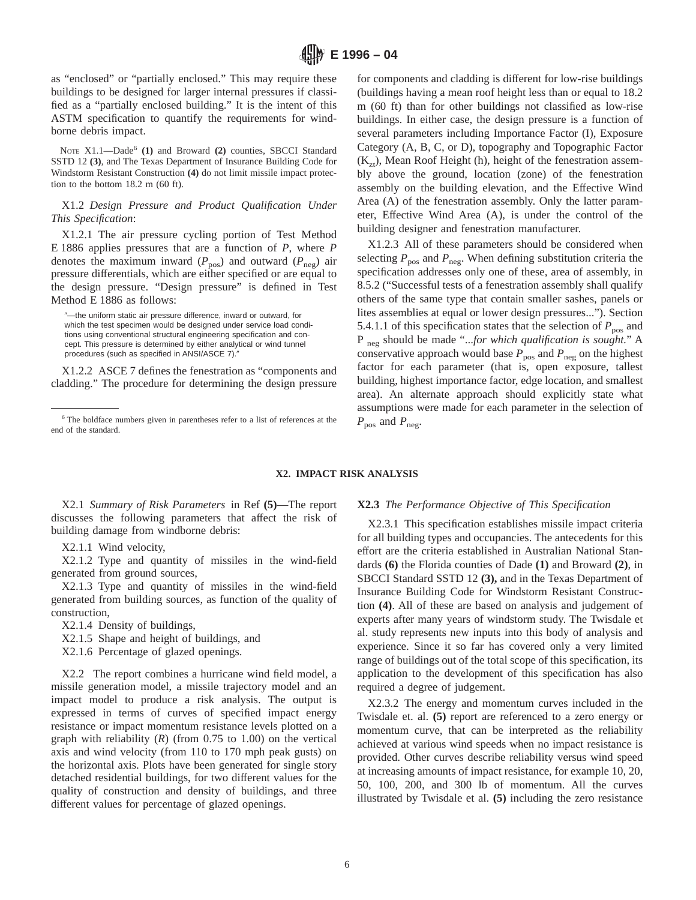as "enclosed" or "partially enclosed." This may require these buildings to be designed for larger internal pressures if classified as a "partially enclosed building." It is the intent of this ASTM specification to quantify the requirements for windborne debris impact.

NOTE X1.1—Dade<sup>6</sup> (1) and Broward (2) counties, SBCCI Standard SSTD 12 **(3)**, and The Texas Department of Insurance Building Code for Windstorm Resistant Construction **(4)** do not limit missile impact protection to the bottom 18.2 m (60 ft).

# X1.2 *Design Pressure and Product Qualification Under This Specification*:

X1.2.1 The air pressure cycling portion of Test Method E 1886 applies pressures that are a function of *P*, where *P* denotes the maximum inward ( $P_{\text{pos}}$ ) and outward ( $P_{\text{neg}}$ ) air pressure differentials, which are either specified or are equal to the design pressure. "Design pressure" is defined in Test Method E 1886 as follows:

X1.2.2 ASCE 7 defines the fenestration as "components and cladding." The procedure for determining the design pressure for components and cladding is different for low-rise buildings (buildings having a mean roof height less than or equal to 18.2 m (60 ft) than for other buildings not classified as low-rise buildings. In either case, the design pressure is a function of several parameters including Importance Factor (I), Exposure Category (A, B, C, or D), topography and Topographic Factor  $(K_{zt})$ , Mean Roof Height (h), height of the fenestration assembly above the ground, location (zone) of the fenestration assembly on the building elevation, and the Effective Wind Area (A) of the fenestration assembly. Only the latter parameter, Effective Wind Area (A), is under the control of the building designer and fenestration manufacturer.

X1.2.3 All of these parameters should be considered when selecting  $P_{\text{pos}}$  and  $P_{\text{neg}}$ . When defining substitution criteria the specification addresses only one of these, area of assembly, in 8.5.2 ("Successful tests of a fenestration assembly shall qualify others of the same type that contain smaller sashes, panels or lites assemblies at equal or lower design pressures..."). Section 5.4.1.1 of this specification states that the selection of  $P_{\text{nos}}$  and P neg should be made "...*for which qualification is sought.*" A conservative approach would base  $P_{\text{pos}}$  and  $P_{\text{neg}}$  on the highest factor for each parameter (that is, open exposure, tallest building, highest importance factor, edge location, and smallest area). An alternate approach should explicitly state what assumptions were made for each parameter in the selection of  $P_{\text{pos}}$  and  $P_{\text{neg}}$ .

## **X2. IMPACT RISK ANALYSIS**

X2.1 *Summary of Risk Parameters* in Ref **(5)**—The report discusses the following parameters that affect the risk of building damage from windborne debris:

X2.1.1 Wind velocity,

X2.1.2 Type and quantity of missiles in the wind-field generated from ground sources,

X2.1.3 Type and quantity of missiles in the wind-field generated from building sources, as function of the quality of construction,

- X2.1.4 Density of buildings,
- X2.1.5 Shape and height of buildings, and
- X2.1.6 Percentage of glazed openings.

X2.2 The report combines a hurricane wind field model, a missile generation model, a missile trajectory model and an impact model to produce a risk analysis. The output is expressed in terms of curves of specified impact energy resistance or impact momentum resistance levels plotted on a graph with reliability (*R*) (from 0.75 to 1.00) on the vertical axis and wind velocity (from 110 to 170 mph peak gusts) on the horizontal axis. Plots have been generated for single story detached residential buildings, for two different values for the quality of construction and density of buildings, and three different values for percentage of glazed openings.

#### **X2.3** *The Performance Objective of This Specification*

X2.3.1 This specification establishes missile impact criteria for all building types and occupancies. The antecedents for this effort are the criteria established in Australian National Standards **(6)** the Florida counties of Dade **(1)** and Broward **(2)**, in SBCCI Standard SSTD 12 **(3),** and in the Texas Department of Insurance Building Code for Windstorm Resistant Construction **(4)**. All of these are based on analysis and judgement of experts after many years of windstorm study. The Twisdale et al. study represents new inputs into this body of analysis and experience. Since it so far has covered only a very limited range of buildings out of the total scope of this specification, its application to the development of this specification has also required a degree of judgement.

X2.3.2 The energy and momentum curves included in the Twisdale et. al. **(5)** report are referenced to a zero energy or momentum curve, that can be interpreted as the reliability achieved at various wind speeds when no impact resistance is provided. Other curves describe reliability versus wind speed at increasing amounts of impact resistance, for example 10, 20, 50, 100, 200, and 300 lb of momentum. All the curves illustrated by Twisdale et al. **(5)** including the zero resistance

<sup>&</sup>quot;-the uniform static air pressure difference, inward or outward, for which the test specimen would be designed under service load conditions using conventional structural engineering specification and concept. This pressure is determined by either analytical or wind tunnel procedures (such as specified in ANSI/ASCE 7).

<sup>6</sup> The boldface numbers given in parentheses refer to a list of references at the end of the standard.